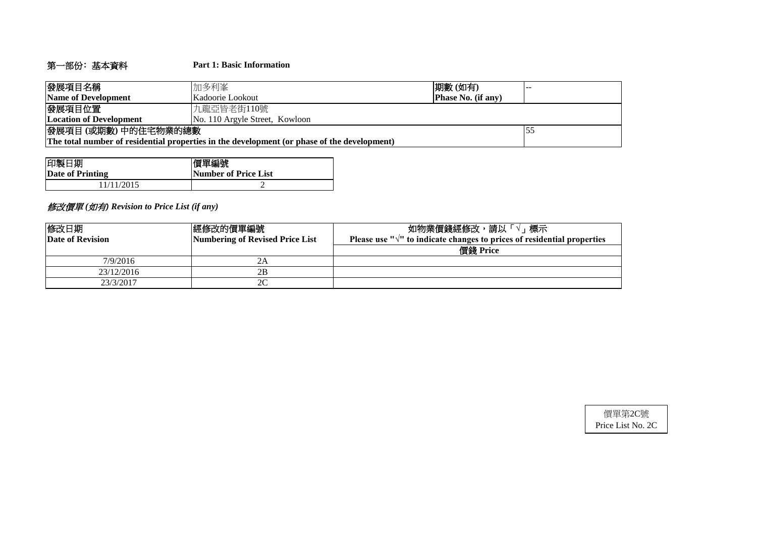# 第一部份﹕基本資料 **Part 1: Basic Information**

| 發展項目名稱                                                                                      | 加多利峯                           | 期數(如有)                    |  |  |  |  |
|---------------------------------------------------------------------------------------------|--------------------------------|---------------------------|--|--|--|--|
| Name of Development                                                                         | Kadoorie Lookout               | <b>Phase No. (if any)</b> |  |  |  |  |
| 發展項目位置                                                                                      | 九龍亞皆老街110號                     |                           |  |  |  |  |
| <b>Location of Development</b>                                                              | No. 110 Argyle Street, Kowloon |                           |  |  |  |  |
| 發展項目(或期數)中的住宅物業的總數                                                                          |                                |                           |  |  |  |  |
| The total number of residential properties in the development (or phase of the development) |                                |                           |  |  |  |  |

| 印製日期             | 價單編號                        |
|------------------|-----------------------------|
| Date of Printing | <b>Number of Price List</b> |
| 1/11/2015        |                             |

# 修改價單 *(*如有*) Revision to Price List (if any)*

| 修改日期<br><b>Date of Revision</b> | 經修改的價單編號 <br>Numbering of Revised Price List | 如物業價錢經修改,請以「<br>標示<br>Please use " $\sqrt{ }$ " to indicate changes to prices of residential properties |
|---------------------------------|----------------------------------------------|---------------------------------------------------------------------------------------------------------|
|                                 |                                              | 價錢 Price                                                                                                |
| 7/9/2016                        | 2Α                                           |                                                                                                         |
| 23/12/2016                      | 2B                                           |                                                                                                         |
| 23/3/2017                       | 2C                                           |                                                                                                         |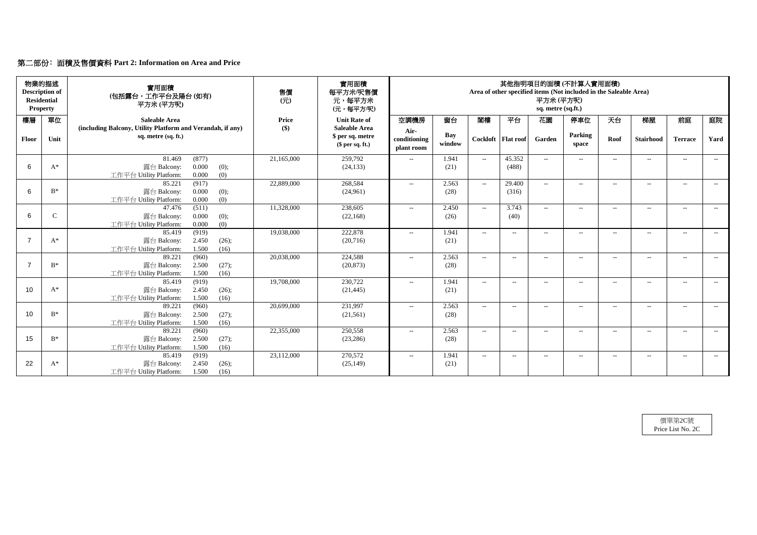# 第二部份﹕面積及售價資料 **Part 2: Information on Area and Price**

| <b>Residential</b> | 物業的描述<br><b>Description of</b><br><b>Property</b> | 實用面積<br>(包括露台,工作平台及陽台(如有)<br>平方米(平方呎)                                                       | 售價<br>(元)           | 實用面積<br>每平方米/呎售價<br>元,每平方米<br>(元,每平方/呎)     | 其他指明項目的面積(不計算入實用面積)<br>Area of other specified items (Not included in the Saleable Area)<br>平方米(平方呎)<br>sq. metre (sq.ft.) |                      |                                                  |                      |                |                  |                   |                  |                          |       |
|--------------------|---------------------------------------------------|---------------------------------------------------------------------------------------------|---------------------|---------------------------------------------|----------------------------------------------------------------------------------------------------------------------------|----------------------|--------------------------------------------------|----------------------|----------------|------------------|-------------------|------------------|--------------------------|-------|
| 樓層                 | 單位                                                | <b>Saleable Area</b><br>(including Balcony, Utility Platform and Verandah, if any)          | <b>Price</b><br>\$) | <b>Unit Rate of</b><br><b>Saleable Area</b> | 空調機房                                                                                                                       | 窗台                   | 閣樓                                               | 平台                   | 花園             | 停車位              | 天台                | 梯屋               | 前庭                       | 庭院    |
| Floor              | Unit                                              | sq. metre (sq. ft.)                                                                         |                     | \$ per sq. metre<br>$$$ per sq. ft.)        | Air-<br>conditioning<br>plant room                                                                                         | <b>Bay</b><br>window |                                                  | Cockloft   Flat roof | Garden         | Parking<br>space | Roof              | <b>Stairhood</b> | <b>Terrace</b>           | Yard  |
| 6                  | $A^*$                                             | 81.469<br>(877)<br>0.000<br>露台 Balcony:<br>(0);<br>0.000<br>(0)<br>工作平台 Utility Platform:   | 21,165,000          | 259,792<br>(24, 133)                        | $-$                                                                                                                        | 1.941<br>(21)        | $\sim$                                           | 45.352<br>(488)      | $ -$           | $---$            | $---$             | $--$             | $---$                    | $--$  |
| 6                  | $B^*$                                             | 85.221<br>(917)<br>0.000<br>露台 Balcony:<br>(0);<br>(0)<br>工作平台 Utility Platform:<br>0.000   | 22,889,000          | 268,584<br>(24,961)                         | $-$                                                                                                                        | 2.563<br>(28)        | $--$                                             | 29.400<br>(316)      | $--$           | $-$              | $---$             | $---$            | $- -$                    | $--$  |
| 6                  | $\mathsf{C}$                                      | (511)<br>47.476<br>0.000<br>露台 Balcony:<br>(0);<br>0.000<br>(0)<br>工作平台 Utility Platform:   | 11,328,000          | 238,605<br>(22, 168)                        | $---$                                                                                                                      | 2.450<br>(26)        | $--$                                             | 3.743<br>(40)        | $\overline{a}$ | $--$             | $---$             | $-$              | $-$                      | $---$ |
| $\overline{7}$     | $A^*$                                             | 85.419<br>(919)<br>2.450<br>露台 Balcony:<br>(26);<br>1.500<br>工作平台 Utility Platform:<br>(16) | 19,038,000          | 222,878<br>(20,716)                         | $-$                                                                                                                        | 1.941<br>(21)        | $--$                                             | $ -$                 | $\overline{a}$ | $-$              | $--$              | $- -$            | $-$                      | $---$ |
| $\overline{7}$     | $B^*$                                             | 89.221<br>(960)<br>2.500<br>露台 Balcony:<br>(27);<br>1.500<br>工作平台 Utility Platform:<br>(16) | 20,038,000          | 224,588<br>(20, 873)                        | $\mathcal{L}(\mathcal{L})$                                                                                                 | 2.563<br>(28)        | $--$                                             | $--$                 | $\overline{a}$ | $-$              | $---$             | $---$            | $--$                     | $--$  |
| 10                 | $A^*$                                             | (919)<br>85.419<br>2.450<br>露台 Balcony:<br>(26);<br>工作平台 Utility Platform:<br>1.500<br>(16) | 19,708,000          | 230,722<br>(21, 445)                        | $---$                                                                                                                      | 1.941<br>(21)        | $\overline{\phantom{a}}$                         | $\qquad \qquad -$    | $\rightarrow$  | $--$             | $\qquad \qquad -$ | $---$            | $-$                      | $---$ |
| 10                 | $B^*$                                             | (960)<br>89.221<br>2.500<br>(27);<br>露台 Balcony:<br>工作平台 Utility Platform:<br>1.500<br>(16) | 20,699,000          | 231,997<br>(21,561)                         | $\mathcal{L} = \mathcal{L}$                                                                                                | 2.563<br>(28)        | $\hspace{0.1em} -\hspace{0.1em} -\hspace{0.1em}$ | $--$                 | $-$            | $--$             | $\qquad \qquad -$ | $--$             | $--$                     | $---$ |
| 15                 | $B^*$                                             | 89.221<br>(960)<br>2.500<br>露台 Balcony:<br>(27);<br>工作平台 Utility Platform:<br>1.500<br>(16) | 22,355,000          | 250,558<br>(23, 286)                        | $\mathcal{L} = \mathcal{L}$                                                                                                | 2.563<br>(28)        | $\overline{\phantom{a}}$                         | $--$                 | $--$           | $--$             | $--$              | $--$             | $\overline{\phantom{a}}$ | $--$  |
| 22                 | $A^*$                                             | 85.419<br>(919)<br>露台 Balcony:<br>2.450<br>(26);<br>工作平台 Utility Platform:<br>1.500<br>(16) | 23,112,000          | 270,572<br>(25, 149)                        | $\mathcal{L}(\mathcal{L})$                                                                                                 | 1.941<br>(21)        | $- -$                                            | $--$                 | $--$           | $--$             | $--$              | $--$             | $--$                     | $--$  |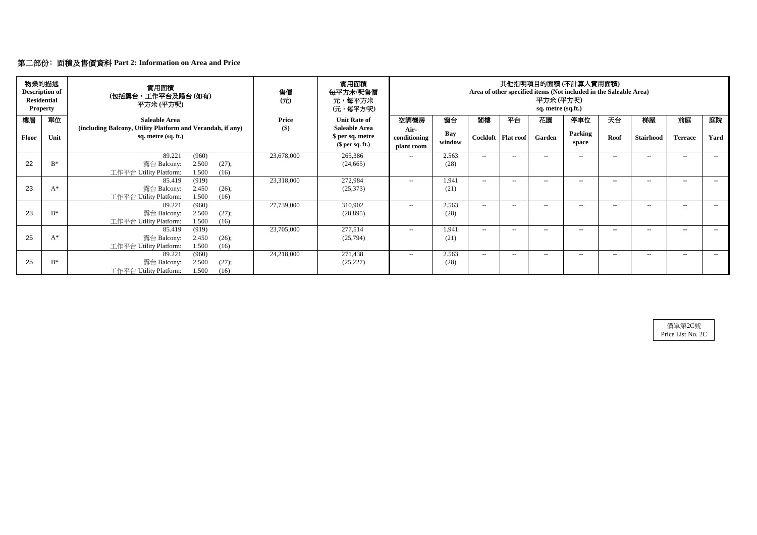|       | 物業的描述<br><b>Description of</b><br><b>Residential</b><br><b>Property</b> | 實用面積<br>(包括露台,工作平台及陽台(如有)<br>平方米 (平方呎)                                                      | 售價<br>$($ $\overrightarrow{\pi}$ $)$ | 實用面積<br>每平方米/呎售價<br>元,每平方米<br>(元,每平方/呎)     | 其他指明項目的面積(不計算入實用面積)<br>Area of other specified items (Not included in the Saleable Area)<br>平方米 (平方呎)<br>sq. metre (sq.ft.) |               |        |                      |        |                  |       |                  |                |       |
|-------|-------------------------------------------------------------------------|---------------------------------------------------------------------------------------------|--------------------------------------|---------------------------------------------|-----------------------------------------------------------------------------------------------------------------------------|---------------|--------|----------------------|--------|------------------|-------|------------------|----------------|-------|
| 樓層    | 單位                                                                      | <b>Saleable Area</b><br>(including Balcony, Utility Platform and Verandah, if any)          | <b>Price</b><br>\$)                  | <b>Unit Rate of</b><br><b>Saleable Area</b> | 空調機房<br>Air-                                                                                                                | 窗台            | 閣樓     | 平台                   | 花園     | 停車位              | 天台    | 梯屋               | 前庭             | 庭院    |
| Floor | Unit                                                                    | sq. metre (sq. ft.)                                                                         |                                      | \$ per sq. metre<br>$$$ per sq. ft.)        | conditioning<br>plant room                                                                                                  | Bay<br>window |        | Cockloft   Flat roof | Garden | Parking<br>space | Roof  | <b>Stairhood</b> | <b>Terrace</b> | Yard  |
|       |                                                                         | 89.221<br>(960)                                                                             | 23,678,000                           | 265,386                                     | $--$                                                                                                                        | 2.563         | $ -$   | $- -$                | $- -$  | $- -$            | $--$  | $--$             | $-$            | $---$ |
| 22    | $B^*$                                                                   | 2.500<br>露台 Balcony:<br>(27);<br>工作平台 Utility Platform:<br>1.500<br>(16)                    |                                      | (24, 665)                                   |                                                                                                                             | (28)          |        |                      |        |                  |       |                  |                |       |
| 23    | $A^*$                                                                   | (919)<br>85.419<br>2.450<br>露台 Balcony:<br>(26);<br>工作平台 Utility Platform:<br>1.500<br>(16) | 23,318,000                           | 272,984<br>(25,373)                         | $---$                                                                                                                       | 1.941<br>(21) | $-$    | $--$                 | $- -$  | $---$            | $-$   | $--$             | $--$           | $--$  |
| 23    | $B^*$                                                                   | 89.221<br>(960)<br>2.500<br>露台 Balcony:<br>(27);<br>1.500<br>工作平台 Utility Platform:<br>(16) | 27,739,000                           | 310,902<br>(28, 895)                        | $---$                                                                                                                       | 2.563<br>(28) | $\sim$ | $--$                 | $- -$  | $---$            | $--$  | $---$            | $--$           | $--$  |
| 25    | $A^*$                                                                   | (919)<br>85.419<br>露台 Balcony:<br>2.450<br>(26);<br>工作平台 Utility Platform:<br>1.500<br>(16) | 23,705,000                           | 277,514<br>(25,794)                         | $--$                                                                                                                        | 1.941<br>(21) | $ -$   | $- -$                | $-$    | $- -$            | $-$   | $--$             | $--$           | $---$ |
| 25    | $B^*$                                                                   | (960)<br>89.221<br>2.500<br>露台 Balcony:<br>(27);<br>1.500<br>工作平台 Utility Platform:<br>(16) | 24,218,000                           | 271,438<br>(25, 227)                        | $--$                                                                                                                        | 2.563<br>(28) | $-$    | $- -$                | $--$   | $- -$            | $- -$ | $--$             | $--$           | $--$  |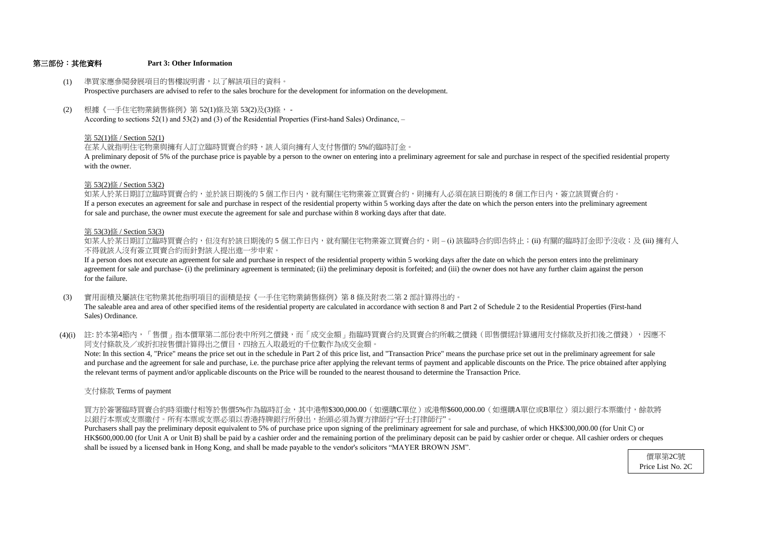#### 第三部份:其他資料 **Part 3: Other Information**

#### 第 53(2)條 / Section 53(2)

- (1) 準買家應參閱發展項目的售樓說明書,以了解該項目的資料。 Prospective purchasers are advised to refer to the sales brochure for the development for information on the development.
- (2) 根據《一手住宅物業銷售條例》第 52(1)條及第 53(2)及(3)條, - According to sections 52(1) and 53(2) and (3) of the Residential Properties (First-hand Sales) Ordinance, –

with the owner. A preliminary deposit of 5% of the purchase price is payable by a person to the owner on entering into a preliminary agreement for sale and purchase in respect of the specified residential property

#### 第 52(1)條 / Section 52(1)

在某人就指明住宅物業與擁有人訂立臨時買賣合約時,該人須向擁有人支付售價的 5%的臨時訂金。

不得就該人沒有簽立買賣合約而針對該人提出進一步申索。 如某人於某日期訂立臨時買賣合約,但沒有於該日期後的 5 個工作日内,就有關住宅物業簽立買賣合約,則 – (i) 該臨時合約即告終止;(ii) 有關的臨時訂金即予沒收;及 (iii) 擁有人

如某人於某日期訂立臨時買賣合約,並於該日期後的 5 個工作日內,就有關住宅物業簽立買賣合約,則擁有人必須在該日期後的 8 個工作日内,簽立該買賣合約。 If a person executes an agreement for sale and purchase in respect of the residential property within 5 working days after the date on which the person enters into the preliminary agreement for sale and purchase, the owner must execute the agreement for sale and purchase within 8 working days after that date.

#### 第 53(3)條 / Section 53(3)

- (3) 實用面積及屬該住宅物業其他指明項目的面積是按《一手住宅物業銷售條例》第 8 條及附表二第 2 部計算得出的。 The saleable area and area of other specified items of the residential property are calculated in accordance with section 8 and Part 2 of Schedule 2 to the Residential Properties (First-hand Sales) Ordinance.
- (4)(i) 註:於本第4節內,「售價」指本價單第二部份表中所列之價錢,而「成交金額」指臨時買賣合約及買賣合約所載之價錢(即售價經計算適用支付條款及折扣後之價錢),因應不 同支付條款及/或折扣按售價計算得出之價目,四捨五入取最近的千位數作為成交金額。

for the failure. agreement for sale and purchase- (i) the preliminary agreement is terminated; (ii) the preliminary deposit is forfeited; and (iii) the owner does not have any further claim against the person If a person does not execute an agreement for sale and purchase in respect of the residential property within 5 working days after the date on which the person enters into the preliminary

the relevant terms of payment and/or applicable discounts on the Price will be rounded to the nearest thousand to determine the Transaction Price. and purchase and the agreement for sale and purchase, i.e. the purchase price after applying the relevant terms of payment and applicable discounts on the Price. The price obtained after applying Note: In this section 4, "Price" means the price set out in the schedule in Part 2 of this price list, and "Transaction Price" means the purchase price set out in the preliminary agreement for sale

支付條款 Terms of payment

以銀行本票或支票繳付。所有本票或支票必須以香港持牌銀行所發出,抬頭必須為賣方律師行"孖士打律師行"。 買方於簽署臨時買賣合約時須繳付相等於售價5%作為臨時訂金,其中港幣\$300,000.00(如選購C單位)或港幣\$600,000.00(如選購A單位或B單位)須以銀行本票繳付,餘款將

shall be issued by a licensed bank in Hong Kong, and shall be made payable to the vendor's solicitors "MAYER BROWN JSM". HK\$600,000.00 (for Unit A or Unit B) shall be paid by a cashier order and the remaining portion of the preliminary deposit can be paid by cashier order or cheque. All cashier orders or cheques Purchasers shall pay the preliminary deposit equivalent to 5% of purchase price upon signing of the preliminary agreement for sale and purchase, of which HK\$300,000.00 (for Unit C) or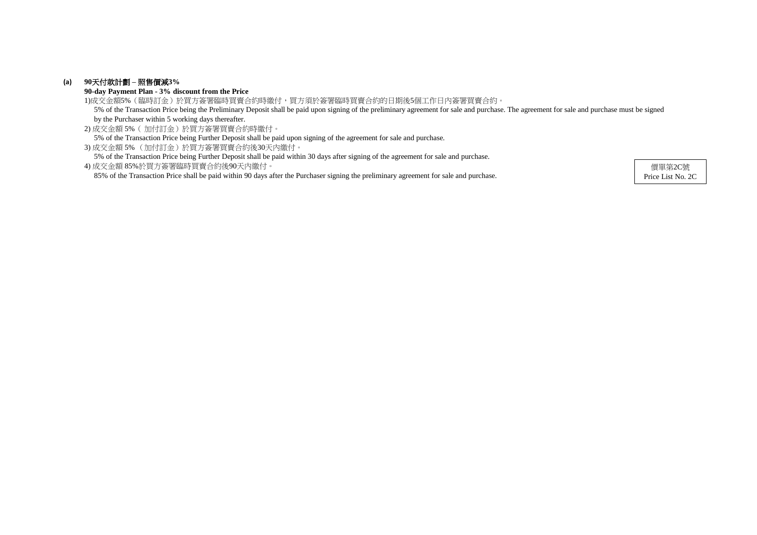### **(a) 90**天付款計劃 **–** 照售價減**3%**

**90-day Payment Plan - 3% discount from the Price**

2) 成交金額 5%( 加付訂金)於買方簽署買賣合約時繳付。 5% of the Transaction Price being Further Deposit shall be paid upon signing of the agreement for sale and purchase.

3) 成交金額 5% (加付訂金)於買方簽署買賣合約後30天內繳付。

5% of the Transaction Price being Further Deposit shall be paid within 30 days after signing of the agreement for sale and purchase.

1)成交金額5%(臨時訂金)於買方簽署臨時買賣合約時繳付,買方須於簽署臨時買賣合約的日期後5個工作日內簽署買賣合約。 5% of the Transaction Price being the Preliminary Deposit shall be paid upon signing of the preliminary agreement for sale and purchase. The agreement for sale and purchase must be signed by the Purchaser within 5 working days thereafter.

4) 成交金額 85%於買方簽署臨時買賣合約後90天內繳付。 85% of the Transaction Price shall be paid within 90 days after the Purchaser signing the preliminary agreement for sale and purchase.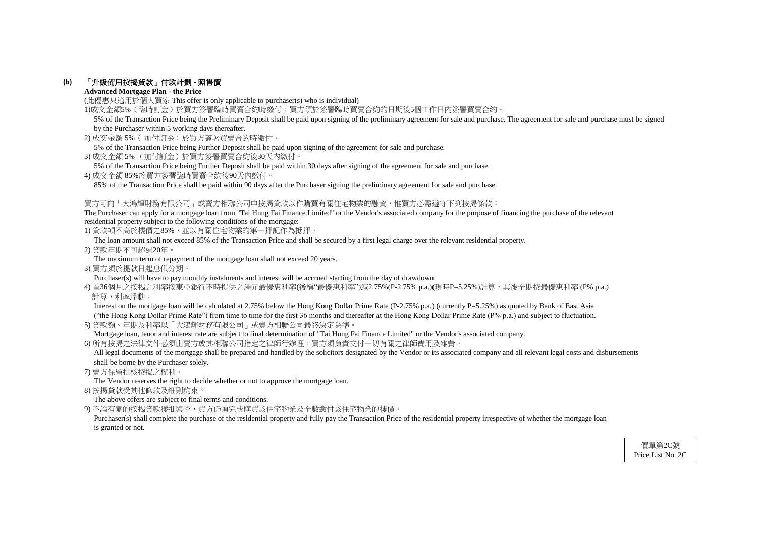### **(b)** 「升級備用按揭貸款」付款計劃 **-** 照售價

#### **Advanced Mortgage Plan - the Price**

(此優惠只適用於個人買家 This offer is only applicable to purchaser(s) who is individual)

1)成交金額5%(臨時訂金)於買方簽署臨時買賣合約時繳付,買方須於簽署臨時買賣合約的日期後5個工作日內簽署買賣合約。

- 2) 成交金額 5%( 加付訂金)於買方簽署買賣合約時繳付。
- 5% of the Transaction Price being Further Deposit shall be paid upon signing of the agreement for sale and purchase.
- 3) 成交金額 5% (加付訂金)於買方簽署買賣合約後30天內繳付。
- 5% of the Transaction Price being Further Deposit shall be paid within 30 days after signing of the agreement for sale and purchase.
- 4) 成交金額 85%於買方簽署臨時買賣合約後90天內繳付。

85% of the Transaction Price shall be paid within 90 days after the Purchaser signing the preliminary agreement for sale and purchase.

#### 買方可向「大鴻輝財務有限公司」或賣方相聯公司申按揭貸款以作購買有關住宅物業的融資,惟買方必需遵守下列按揭條款:

The Purchaser can apply for a mortgage loan from "Tai Hung Fai Finance Limited" or the Vendor's associated company for the purpose of financing the purchase of the relevant residential property subject to the following conditions of the mortgage:

1) 貸款額不高於樓價之85%,並以有關住宅物業的第一押記作為抵押。

Interest on the mortgage loan will be calculated at 2.75% below the Hong Kong Dollar Prime Rate (P-2.75% p.a.) (currently P=5.25%) as quoted by Bank of East Asia ("the Hong Kong Dollar Prime Rate") from time to time for the first 36 months and thereafter at the Hong Kong Dollar Prime Rate (P% p.a.) and subject to fluctuation.

The loan amount shall not exceed 85% of the Transaction Price and shall be secured by a first legal charge over the relevant residential property.

All legal documents of the mortgage shall be prepared and handled by the solicitors designated by the Vendor or its associated company and all relevant legal costs and disbursements shall be borne by the Purchaser solely.

2) 貸款年期不可超過20年。

The maximum term of repayment of the mortgage loan shall not exceed 20 years.

3) 買方須於提款日起息供分期。

Purchaser(s) will have to pay monthly instalments and interest will be accrued starting from the day of drawdown.

4) 首36個月之按揭之利率按東亞銀行不時提供之港元最優惠利率(後稱"最優惠利率")減2.75%(P-2.75% p.a.)(現時P=5.25%)計算,其後全期按最優惠利率 (P% p.a.) 計算,利率浮動。

Purchaser(s) shall complete the purchase of the residential property and fully pay the Transaction Price of the residential property irrespective of whether the mortgage loan is granted or not.

5) 貸款額、年期及利率以「大鴻輝財務有限公司」或賣方相聯公司最終決定為準。

Mortgage loan, tenor and interest rate are subject to final determination of "Tai Hung Fai Finance Limited" or the Vendor's associated company.

6) 所有按揭之法律文件必須由賣方或其相聯公司指定之律師行辦理,買方須負責支付一切有關之律師費用及雜費。

7) 賣方保留批核按揭之權利。

The Vendor reserves the right to decide whether or not to approve the mortgage loan.

8) 按揭貸款受其他條款及細則約束。

The above offers are subject to final terms and conditions.

9) 不論有關的按揭貸款獲批與否,買方仍須完成購買該住宅物業及全數繳付該住宅物業的樓價。

 5% of the Transaction Price being the Preliminary Deposit shall be paid upon signing of the preliminary agreement for sale and purchase. The agreement for sale and purchase must be signed by the Purchaser within 5 working days thereafter.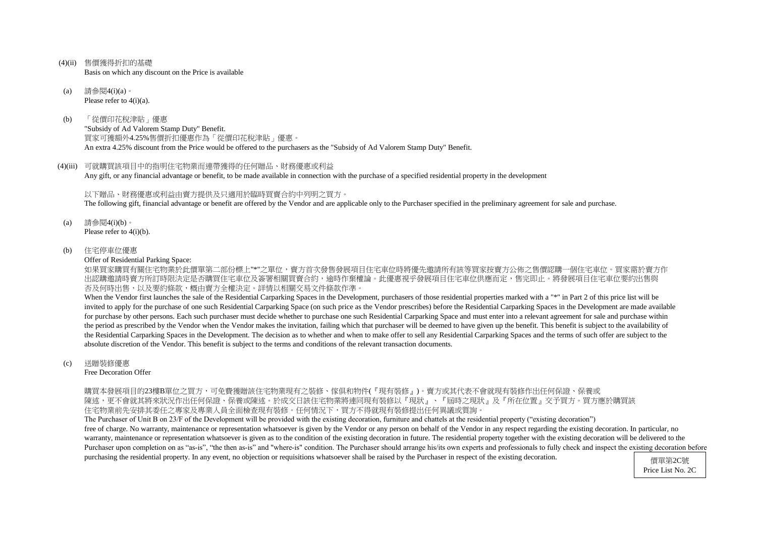- (4)(ii) 售價獲得折扣的基礎 Basis on which any discount on the Price is available
- (a) 請參閱4(i)(a)。 Please refer to  $4(i)(a)$ .
- (b) 「從價印花稅津貼」優惠 "Subsidy of Ad Valorem Stamp Duty" Benefit. 買家可獲額外4.25%售價折扣優惠作為「從價印花稅津貼」優惠。 An extra 4.25% discount from the Price would be offered to the purchasers as the "Subsidy of Ad Valorem Stamp Duty" Benefit.
- (4)(iii) 可就購買該項目中的指明住宅物業而連帶獲得的任何贈品、財務優惠或利益 Any gift, or any financial advantage or benefit, to be made available in connection with the purchase of a specified residential property in the development

如果買家購買有關住宅物業於此價單第二部份標上"\*"之單位,賣方首次發售發展項目住宅車位時將優先邀請所有該等買家按賣方公佈之售價認購一個住宅車位。買家需於賣方作 出認購邀請時賣方所訂時限決定是否購買住宅車位及簽署相關買賣合約,逾時作棄權論。此優惠視乎發展項目住宅車位供應而定,售完即止。將發展項目住宅車位要約出售與 否及何時出售,以及要約條款,概由賣方全權決定。詳情以相關交易文件條款作準。

以下贈品、財務優惠或利益由賣方提供及只適用於臨時買賣合約中列明之買方。 The following gift, financial advantage or benefit are offered by the Vendor and are applicable only to the Purchaser specified in the preliminary agreement for sale and purchase.

- (a) 請參閱4(i)(b)。 Please refer to 4(i)(b).
- (b) 住宅停車位優惠

Offer of Residential Parking Space:

When the Vendor first launches the sale of the Residential Carparking Spaces in the Development, purchasers of those residential properties marked with a "\*" in Part 2 of this price list will be invited to apply for the purchase of one such Residential Carparking Space (on such price as the Vendor prescribes) before the Residential Carparking Spaces in the Development are made available for purchase by other persons. Each such purchaser must decide whether to purchase one such Residential Carparking Space and must enter into a relevant agreement for sale and purchase within the period as prescribed by the Vendor when the Vendor makes the invitation, failing which that purchaser will be deemed to have given up the benefit. This benefit is subject to the availability of the Residential Carparking Spaces in the Development. The decision as to whether and when to make offer to sell any Residential Carparking Spaces and the terms of such offer are subject to the absolute discretion of the Vendor. This benefit is subject to the terms and conditions of the relevant transaction documents.

The Purchaser of Unit B on 23/F of the Development will be provided with the existing decoration, furniture and chattels at the residential property ("existing decoration") free of charge. No warranty, maintenance or representation whatsoever is given by the Vendor or any person on behalf of the Vendor in any respect regarding the existing decoration. In particular, no warranty, maintenance or representation whatsoever is given as to the condition of the existing decoration in future. The residential property together with the existing decoration will be delivered to the Purchaser upon completion on as "as-is", "the then as-is" and "where-is" condition. The Purchaser should arrange his/its own experts and professionals to fully check and inspect the existing decoration before purchasing the residential property. In any event, no objection or requisitions whatsoever shall be raised by the Purchaser in respect of the existing decoration. (價單第2C號

#### (c) 送贈裝修優惠

Free Decoration Offer

購買本發展項目的23樓B單位之買方,可免費獲贈該住宅物業現有之裝修、傢俱和物件(『現有裝修』)。賣方或其代表不會就現有裝修作出任何保證、保養或 陳述,更不會就其將來狀況作出任何保證、保養或陳述。於成交日該住宅物業將連同現有裝修以『現狀』、『屆時之現狀』及『所在位置』交予買方。買方應於購買該 住宅物業前先安排其委任之專家及專業人員全面檢查現有裝修。任何情況下,買方不得就現有裝修提出任何異議或質詢

Price List No. 2C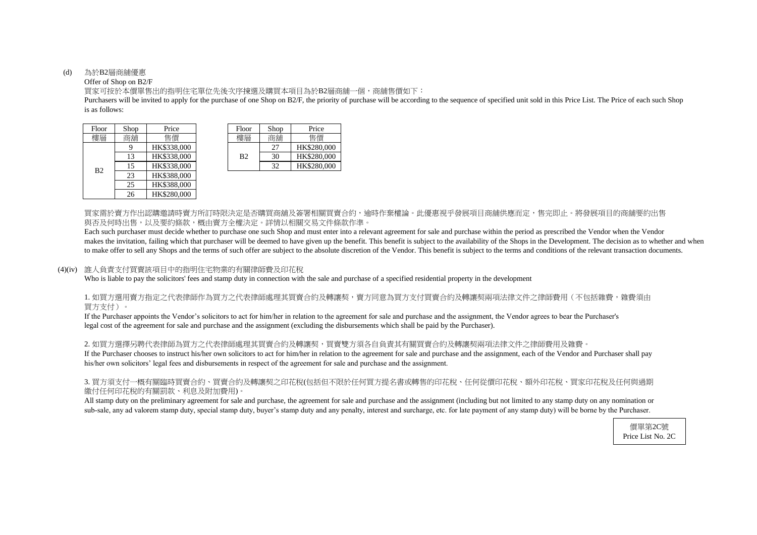#### (d) 為於B2層商舖優惠

#### Offer of Shop on B2/F

is as follows: Purchasers will be invited to apply for the purchase of one Shop on B2/F, the priority of purchase will be according to the sequence of specified unit sold in this Price List. The Price of each such Shop

買家可按於本價單售出的指明住宅單位先後次序揀選及購買本項目為於B2層商舖一個,商舖售價如下:

買家需於賣方作出認購邀請時賣方所訂時限決定是否購買商舖及簽署相關買賣合約,逾時作棄權論。此優惠視乎發展項目商舖供應而定,售完即止。將發展項目的商舖要約出售 與否及何時出售,以及要約條款,概由賣方全權決定。詳情以相關交易文件條款作準。

Each such purchaser must decide whether to purchase one such Shop and must enter into a relevant agreement for sale and purchase within the period as prescribed the Vendor when the Vendor makes the invitation, failing which that purchaser will be deemed to have given up the benefit. This benefit is subject to the availability of the Shops in the Development. The decision as to whether and when to make offer to sell any Shops and the terms of such offer are subject to the absolute discretion of the Vendor. This benefit is subject to the terms and conditions of the relevant transaction documents.

#### 1. 如買方選用賣方指定之代表律師作為買方之代表律師處理其買賣合約及轉讓契,賣方同意為買方支付買賣合約及轉讓契兩項法律文件之律師費用(不包括雜費,雜費須由 買方支付)。

2. 如買方選擇另聘代表律師為買方之代表律師處理其買賣合約及轉讓契,買賣雙方須各自負責其有關買賣合約及轉讓契兩項法律文件之律師費用及雜費。 If the Purchaser chooses to instruct his/her own solicitors to act for him/her in relation to the agreement for sale and purchase and the assignment, each of the Vendor and Purchaser shall pay his/her own solicitors' legal fees and disbursements in respect of the agreement for sale and purchase and the assignment.

#### (4)(iv) 誰人負責支付買賣該項目中的指明住宅物業的有關律師費及印花稅

Who is liable to pay the solicitors' fees and stamp duty in connection with the sale and purchase of a specified residential property in the development

| Floor            | Shop | Price       | Floor          | Shop     | Price    |
|------------------|------|-------------|----------------|----------|----------|
| 樓層               | 商舖   | 售價          | 樓層             | 商鋪       | 售價       |
| HK\$338,000<br>9 |      |             | 27             | HK\$280, |          |
| B <sub>2</sub>   | 13   | HK\$338,000 | B <sub>2</sub> | 30       | HK\$280, |
|                  | 15   | HK\$338,000 |                | 32       | HK\$280, |
|                  | 23   | HK\$388,000 |                |          |          |
|                  | 25   | HK\$388,000 |                |          |          |
|                  | 26   | HK\$280,000 |                |          |          |
|                  |      |             |                |          |          |

| hop      | Price       | Floor          | Shop | Price       |
|----------|-------------|----------------|------|-------------|
| 鏥        | 售價          | 樓層             | 商鋪   | 售價          |
| <b>Q</b> | HK\$338,000 |                | 27   | HK\$280,000 |
| 13       | HK\$338,000 | B <sub>2</sub> | 30   | HK\$280,000 |
| 15       | HK\$338,000 |                | 32   | HK\$280,000 |

If the Purchaser appoints the Vendor's solicitors to act for him/her in relation to the agreement for sale and purchase and the assignment, the Vendor agrees to bear the Purchaser's legal cost of the agreement for sale and purchase and the assignment (excluding the disbursements which shall be paid by the Purchaser).

#### 3. 買方須支付一概有關臨時買賣合約、買賣合約及轉讓契之印花稅(包括但不限於任何買方提名書或轉售的印花稅、任何從價印花稅、額外印花稅、買家印花稅及任何與過期 繳付任何印花稅的有關罰款、利息及附加費用)。

All stamp duty on the preliminary agreement for sale and purchase, the agreement for sale and purchase and the assignment (including but not limited to any stamp duty on any nomination or sub-sale, any ad valorem stamp duty, special stamp duty, buyer's stamp duty and any penalty, interest and surcharge, etc. for late payment of any stamp duty) will be borne by the Purchaser.